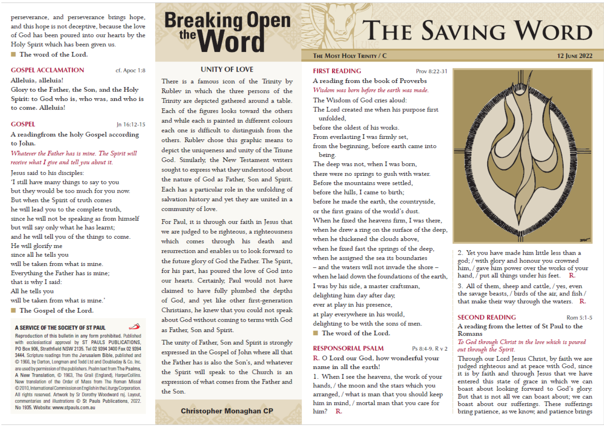perseverance, and perseverance brings hope, and this hope is not deceptive, because the love of God has been poured into our hearts by the Holy Spirit which has been given us.

■ The word of the Lord.

#### **GOSPEL ACCLAMATION**

cf. Apoc 1:8

Alleluia, alleluia!

Glory to the Father, the Son, and the Holy Spirit: to God who is, who was, and who is to come. Alleluia!

#### **GOSPEL**

 $ln 16:12-15$ 

A readingfrom the holy Gospel according to John.

#### Whatever the Father has is mine. The Spirit will receive what I give and tell you about it.

Jesus said to his disciples:

'I still have many things to say to you but they would be too much for you now. But when the Spirit of truth comes he will lead you to the complete truth, since he will not be speaking as from himself but will say only what he has learnt; and he will tell you of the things to come. He will glorify me since all he tells you will be taken from what is mine.

Everything the Father has is mine;

that is why I said:

All he tells you

will be taken from what is mine.'

■ The Gospel of the Lord.

#### A SERVICE OF THE SOCIETY OF ST PAUL

Reproduction of this bulletin in any form prohibited. Published with ecclesiastical approval by ST PAULS PUBLICATIONS, PO Box 906, Strathfield NSW 2135. Tel 02 9394 3400 Fax 02 9394 3444. Scripture readings from the Jerusalem Bible, published and C 1966, by Darton, Longman and Todd Ltd and Doubleday & Co. Inc. are used by permission of the publishers. Psalm text from The Psalms, A New Translation, C 1963, The Grail (England), HarperCollins. New translation of the Order of Mass from The Roman Missal @2010, International Commission on English in the Liturgy Corporation. All rights reserved. Artwork by Sr Dorothy Woodward rsj. Layout, commentaries and illustrations C St Pauls Publications, 2022. No 1935. Website: www.stpauls.com.au

# **Breaking Open**

### **UNITY OF LOVE**

There is a famous icon of the Trinity by Rublev in which the three persons of the Trinity are depicted gathered around a table. Each of the figures looks toward the others and while each is painted in different colours each one is difficult to distinguish from the others. Rublev chose this graphic means to depict the uniqueness and unity of the Triune God. Similarly, the New Testament writers sought to express what they understood about the nature of God as Father, Son and Spirit. Each has a particular role in the unfolding of salvation history and yet they are united in a community of love.

For Paul, it is through our faith in Jesus that we are judged to be righteous, a righteousness which comes through his death and resurrection and enables us to look forward to the future glory of God the Father. The Spirit, for his part, has poured the love of God into our hearts. Certainly, Paul would not have claimed to have fully plumbed the depths of God, and yet like other first-generation Christians, he knew that you could not speak about God without coming to terms with God as Father, Son and Spirit.

The unity of Father, Son and Spirit is strongly expressed in the Gospel of John where all that the Father has is also the Son's, and whatever the Spirit will speak to the Church is an expression of what comes from the Father and the Son.

#### **Christopher Monaghan CP**

# THE SAVING WORD

#### THE MOST HOLY TRINITY / C

**FIRST READING** 

Prov 8:22-31

A reading from the book of Proverbs Wisdom was born before the earth was made.

The Wisdom of God cries aloud:

The Lord created me when his purpose first unfolded.

before the oldest of his works. From everlasting I was firmly set,

from the beginning, before earth came into being.

The deep was not, when I was born, there were no springs to gush with water. Before the mountains were settled, before the hills. I came to birth: before he made the earth, the countryside, or the first grains of the world's dust. When he fixed the heavens firm, I was there, when he drew a ring on the surface of the deep, when he thickened the clouds above. when he fixed fast the springs of the deep, when he assigned the sea its boundaries - and the waters will not invade the shore when he laid down the foundations of the earth. I was by his side, a master craftsman, delighting him day after day, ever at play in his presence, at play everywhere in his world, delighting to be with the sons of men.

■ The word of the Lord.

#### **RESPONSORIAL PSALM**

R. O Lord our God, how wonderful your name in all the earth!

Ps 8:4-9, R v 2

1. When I see the heavens, the work of your hands, / the moon and the stars which you arranged, / what is man that you should keep him in mind, / mortal man that you care for him? R.



2. Yet you have made him little less than a god; / with glory and honour you crowned him, / gave him power over the works of your hand, / put all things under his feet. R.

3. All of them, sheep and cattle, / yes, even the savage beasts, / birds of the air, and fish / that make their way through the waters. R.

#### **SECOND READING**

Rom 5:1-5

**12 JUNE 2022** 

A reading from the letter of St Paul to the Romans

#### To God through Christ in the love which is poured out through the Spirit.

Through our Lord Jesus Christ, by faith we are judged righteous and at peace with God, since it is by faith and through Jesus that we have entered this state of grace in which we can boast about looking forward to God's glory. But that is not all we can boast about; we can boast about our sufferings. These sufferings bring patience, as we know, and patience brings